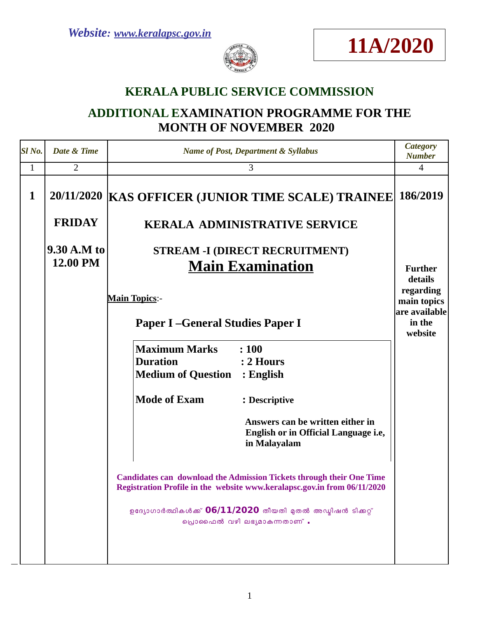



## **KERALA PUBLIC SERVICE COMMISSION**

# **ADDITIONAL EXAMINATION PROGRAMME FOR THE MONTH OF NOVEMBER 2020**

| Sl <sub>No.</sub> | Date & Time   | <b>Name of Post, Department &amp; Syllabus</b>                                                                                                          | <b>Category</b><br><b>Number</b>                                          |
|-------------------|---------------|---------------------------------------------------------------------------------------------------------------------------------------------------------|---------------------------------------------------------------------------|
| $\mathbf{1}$      | 2             | 3                                                                                                                                                       | $\overline{4}$                                                            |
| $\mathbf{1}$      |               | 20/11/2020   KAS OFFICER (JUNIOR TIME SCALE) TRAINEE                                                                                                    | 186/2019                                                                  |
|                   | <b>FRIDAY</b> | <b>KERALA ADMINISTRATIVE SERVICE</b>                                                                                                                    |                                                                           |
|                   | 9.30 A.M to   | <b>STREAM -I (DIRECT RECRUITMENT)</b>                                                                                                                   |                                                                           |
|                   | 12.00 PM      | <b>Main Examination</b>                                                                                                                                 | <b>Further</b>                                                            |
|                   |               | <b>Main Topics:-</b><br><b>Paper I-General Studies Paper I</b>                                                                                          | details<br>regarding<br>main topics<br>are available<br>in the<br>website |
|                   |               | <b>Maximum Marks</b><br>: 100                                                                                                                           |                                                                           |
|                   |               | <b>Duration</b><br>: 2 Hours<br><b>Medium of Question : English</b>                                                                                     |                                                                           |
|                   |               | <b>Mode of Exam</b><br>: Descriptive                                                                                                                    |                                                                           |
|                   |               | Answers can be written either in<br>English or in Official Language i.e,<br>in Malayalam                                                                |                                                                           |
|                   |               | <b>Candidates can download the Admission Tickets through their One Time</b><br>Registration Profile in the website www.keralapsc.gov.in from 06/11/2020 |                                                                           |
|                   |               | ഉദ്യോഗാർത്ഥികൾക്ക് 06/11/2020 തീയതി മുതൽ അഡ്യിഷൻ ടിക്കറ്റ്<br>പ്രൊഫൈൽ വഴി ലഭ്യമാകുന്നതാണ് .                                                             |                                                                           |
|                   |               |                                                                                                                                                         |                                                                           |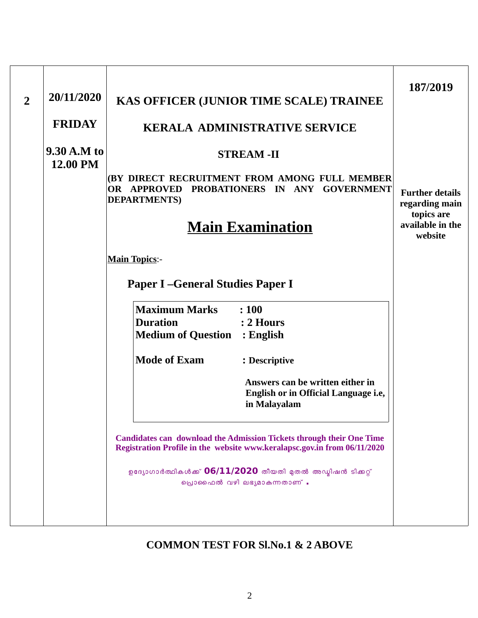| $\overline{2}$ | 20/11/2020              | KAS OFFICER (JUNIOR TIME SCALE) TRAINEE                                                                                                                 | 187/2019                                                    |
|----------------|-------------------------|---------------------------------------------------------------------------------------------------------------------------------------------------------|-------------------------------------------------------------|
|                | <b>FRIDAY</b>           | <b>KERALA ADMINISTRATIVE SERVICE</b>                                                                                                                    |                                                             |
|                | 9.30 A.M to<br>12.00 PM | <b>STREAM-II</b><br>(BY DIRECT RECRUITMENT FROM AMONG FULL MEMBER<br>PROBATIONERS IN ANY GOVERNMENT<br><b>OR APPROVED</b><br><b>DEPARTMENTS</b> )       | <b>Further details</b>                                      |
|                |                         | <b>Main Examination</b>                                                                                                                                 | regarding main<br>topics are<br>available in the<br>website |
|                |                         | <b>Main Topics:-</b>                                                                                                                                    |                                                             |
|                |                         | <b>Paper I-General Studies Paper I</b>                                                                                                                  |                                                             |
|                |                         | <b>Maximum Marks</b><br>: 100<br><b>Duration</b><br>$\therefore$ 2 Hours<br><b>Medium of Question : English</b>                                         |                                                             |
|                |                         | <b>Mode of Exam</b><br>: Descriptive                                                                                                                    |                                                             |
|                |                         | Answers can be written either in<br>English or in Official Language i.e,<br>in Malayalam                                                                |                                                             |
|                |                         | <b>Candidates can download the Admission Tickets through their One Time</b><br>Registration Profile in the website www.keralapsc.gov.in from 06/11/2020 |                                                             |
|                |                         | ഉദ്യോഗാർത്ഥികൾക്ക് 06/11/2020 തീയതി മുതൽ അഡ്യിഷൻ ടിക്കറ്റ്<br>പ്രൊഫൈൽ വഴി ലഭ്യമാകുന്നതാണ് .                                                             |                                                             |
|                |                         |                                                                                                                                                         |                                                             |

### **COMMON TEST FOR Sl.No.1 & 2 ABOVE**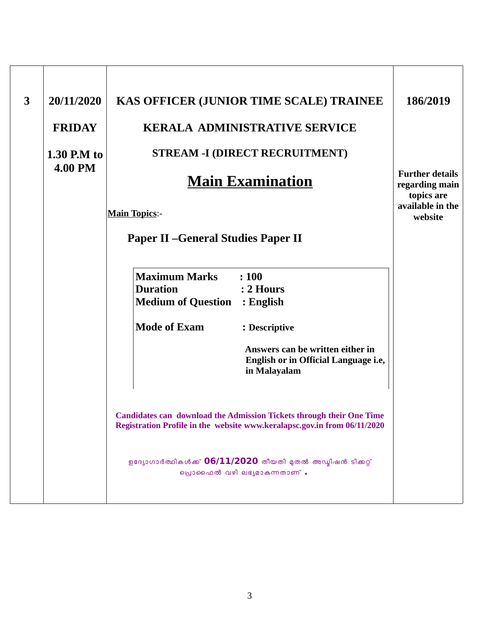| 3 | 20/11/2020     | KAS OFFICER (JUNIOR TIME SCALE) TRAINEE                                                                                                                                                                               | 186/2019                                               |
|---|----------------|-----------------------------------------------------------------------------------------------------------------------------------------------------------------------------------------------------------------------|--------------------------------------------------------|
|   | <b>FRIDAY</b>  | <b>KERALA ADMINISTRATIVE SERVICE</b>                                                                                                                                                                                  |                                                        |
|   | $1.30$ P.M to  | <b>STREAM -I (DIRECT RECRUITMENT)</b>                                                                                                                                                                                 |                                                        |
|   | <b>4.00 PM</b> | <b>Main Examination</b>                                                                                                                                                                                               | <b>Further details</b><br>regarding main<br>topics are |
|   |                | <b>Main Topics:-</b>                                                                                                                                                                                                  | available in the<br>website                            |
|   |                | <b>Paper II - General Studies Paper II</b>                                                                                                                                                                            |                                                        |
|   |                | <b>Maximum Marks</b><br>: 100                                                                                                                                                                                         |                                                        |
|   |                | <b>Duration</b><br>: 2 Hours<br><b>Medium of Question : English</b>                                                                                                                                                   |                                                        |
|   |                | <b>Mode of Exam</b><br>: Descriptive                                                                                                                                                                                  |                                                        |
|   |                | Answers can be written either in<br>English or in Official Language i.e,<br>in Malayalam                                                                                                                              |                                                        |
|   |                | <b>Candidates can download the Admission Tickets through their One Time</b><br>Registration Profile in the website www.keralapsc.gov.in from 06/11/2020<br>ഉദ്യോഗാർത്ഥികൾക്ക് 06/11/2020 തീയതി മുതൽ അഡ്യിഷൻ ടിക്കറ്റ് |                                                        |
|   |                | പ്രൊഫൈൽ വഴി ലഭ്യമാകുന്നതാണ് .                                                                                                                                                                                         |                                                        |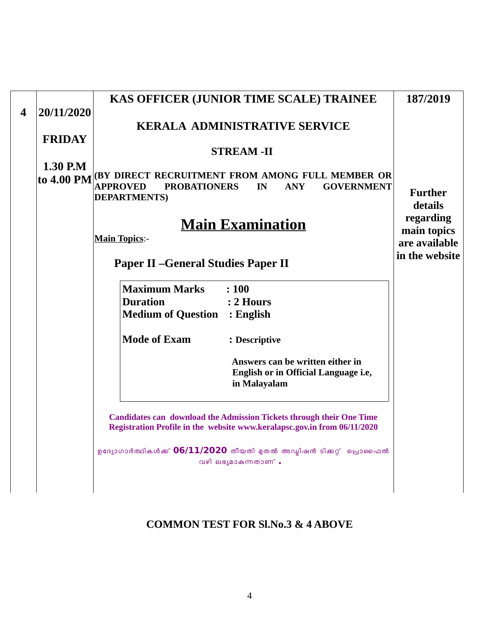|   |                        | KAS OFFICER (JUNIOR TIME SCALE) TRAINEE                                                                                                                            | 187/2019                               |
|---|------------------------|--------------------------------------------------------------------------------------------------------------------------------------------------------------------|----------------------------------------|
| 4 | 20/11/2020             | <b>KERALA ADMINISTRATIVE SERVICE</b>                                                                                                                               |                                        |
|   | <b>FRIDAY</b>          | <b>STREAM-II</b>                                                                                                                                                   |                                        |
|   | 1.30 P.M<br>to 4.00 PM | <b>(BY DIRECT RECRUITMENT FROM AMONG FULL MEMBER OR</b><br><b>APPROVED</b><br><b>PROBATIONERS</b><br><b>ANY</b><br><b>GOVERNMENT</b><br>IN<br><b>DEPARTMENTS</b> ) | <b>Further</b><br>details<br>regarding |
|   |                        | <b>Main Examination</b><br><b>Main Topics:-</b>                                                                                                                    | main topics                            |
|   |                        | <b>Paper II - General Studies Paper II</b>                                                                                                                         | are available<br>in the website        |
|   |                        | <b>Maximum Marks</b><br>: 100                                                                                                                                      |                                        |
|   |                        | <b>Duration</b><br>: 2 Hours<br><b>Medium of Question : English</b>                                                                                                |                                        |
|   |                        | <b>Mode of Exam</b><br>: Descriptive                                                                                                                               |                                        |
|   |                        | Answers can be written either in<br>English or in Official Language i.e,<br>in Malayalam                                                                           |                                        |
|   |                        | <b>Candidates can download the Admission Tickets through their One Time</b><br>Registration Profile in the website www.keralapsc.gov.in from 06/11/2020            |                                        |
|   |                        | ഉദ്യോഗാർത്ഥികൾക്ക് 06/11/2020 തീയതി മുതൽ അഡ്മിഷൻ ടിക്കറ്റ് പ്രൊഫൈൽ<br>വഴി ലഭ്യമാകുന്നതാണ് .                                                                        |                                        |
|   |                        |                                                                                                                                                                    |                                        |

### **COMMON TEST FOR Sl.No.3 & 4 ABOVE**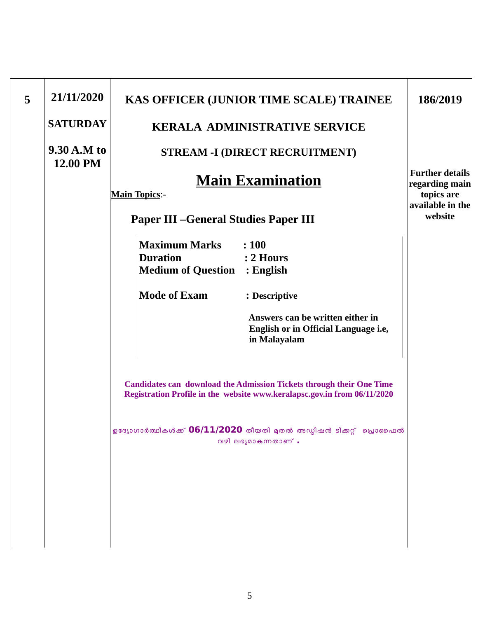| 5 | 21/11/2020              | KAS OFFICER (JUNIOR TIME SCALE) TRAINEE                                                                                                                 | 186/2019                                 |
|---|-------------------------|---------------------------------------------------------------------------------------------------------------------------------------------------------|------------------------------------------|
|   | <b>SATURDAY</b>         | <b>KERALA ADMINISTRATIVE SERVICE</b>                                                                                                                    |                                          |
|   | 9.30 A.M to<br>12.00 PM | <b>STREAM -I (DIRECT RECRUITMENT)</b>                                                                                                                   |                                          |
|   |                         | <b>Main Examination</b>                                                                                                                                 | <b>Further details</b><br>regarding main |
|   |                         | <b>Main Topics:-</b>                                                                                                                                    | topics are                               |
|   |                         | <b>Paper III - General Studies Paper III</b>                                                                                                            | available in the<br>website              |
|   |                         | <b>Maximum Marks</b><br>: 100                                                                                                                           |                                          |
|   |                         | <b>Duration</b><br>$: 2$ Hours                                                                                                                          |                                          |
|   |                         | <b>Medium of Question</b><br>$:$ English                                                                                                                |                                          |
|   |                         | <b>Mode of Exam</b><br>: Descriptive                                                                                                                    |                                          |
|   |                         | Answers can be written either in<br>English or in Official Language i.e,<br>in Malayalam                                                                |                                          |
|   |                         | <b>Candidates can download the Admission Tickets through their One Time</b><br>Registration Profile in the website www.keralapsc.gov.in from 06/11/2020 |                                          |
|   |                         | ഉദ്യോഗാർത്ഥികൾക്ക് 06/11/2020 തീയതി മുതൽ അഡ്യിഷൻ ടിക്കറ്റ് പ്രൊഫൈൽ<br>വഴി ലഭ്യമാകുന്നതാണ് .                                                             |                                          |
|   |                         |                                                                                                                                                         |                                          |
|   |                         |                                                                                                                                                         |                                          |
|   |                         |                                                                                                                                                         |                                          |
|   |                         |                                                                                                                                                         |                                          |
|   |                         |                                                                                                                                                         |                                          |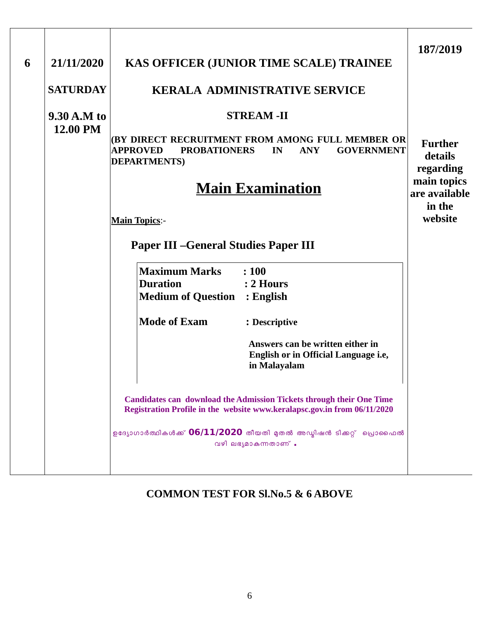| 6 | 21/11/2020<br><b>SATURDAY</b> | KAS OFFICER (JUNIOR TIME SCALE) TRAINEE<br><b>KERALA ADMINISTRATIVE SERVICE</b>                                                                                                                                                                                                                                                                                                                                                                                                                                                                      | 187/2019                                                                                    |
|---|-------------------------------|------------------------------------------------------------------------------------------------------------------------------------------------------------------------------------------------------------------------------------------------------------------------------------------------------------------------------------------------------------------------------------------------------------------------------------------------------------------------------------------------------------------------------------------------------|---------------------------------------------------------------------------------------------|
|   | 9.30 A.M to<br>12.00 PM       | <b>STREAM-II</b><br>(BY DIRECT RECRUITMENT FROM AMONG FULL MEMBER OR<br><b>PROBATIONERS</b><br><b>GOVERNMENT</b><br><b>APPROVED</b><br>IN<br><b>ANY</b><br><b>DEPARTMENTS</b> )<br><u>Main Examination</u><br><b>Main Topics:-</b>                                                                                                                                                                                                                                                                                                                   | <b>Further</b><br>details<br>regarding<br>main topics<br>are available<br>in the<br>website |
|   |                               | <b>Paper III - General Studies Paper III</b><br><b>Maximum Marks</b><br>: 100<br><b>Duration</b><br>$: 2$ Hours<br><b>Medium of Question : English</b><br><b>Mode of Exam</b><br>: Descriptive<br>Answers can be written either in<br>English or in Official Language i.e,<br>in Malayalam<br><b>Candidates can download the Admission Tickets through their One Time</b><br>Registration Profile in the website www.keralapsc.gov.in from 06/11/2020<br>ഉദ്യോഗാർത്ഥികൾക്ക് 06/11/2020 തീയതി മുതൽ അഡ്മിഷൻ ടിക്കറ്റ് പ്രൊഫൈൽ<br>വഴി ലഭ്യമാകുന്നതാണ് . |                                                                                             |

### **COMMON TEST FOR Sl.No.5 & 6 ABOVE**